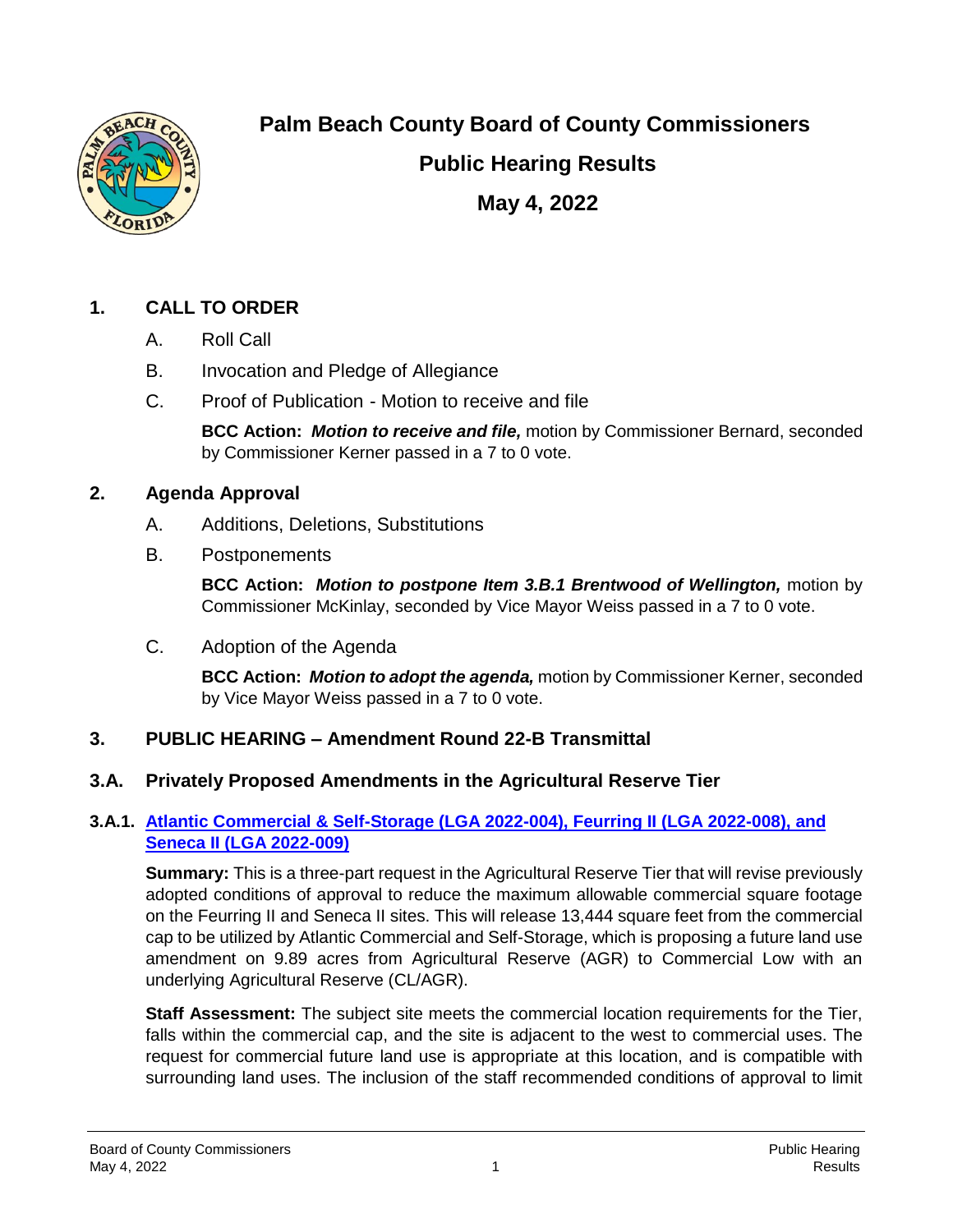

**Palm Beach County Board of County Commissioners**

**Public Hearing Results**

**May 4, 2022**

# **1. CALL TO ORDER**

- A. Roll Call
- B. Invocation and Pledge of Allegiance
- C. Proof of Publication Motion to receive and file

**BCC Action:** *Motion to receive and file,* motion by Commissioner Bernard, seconded by Commissioner Kerner passed in a 7 to 0 vote.

#### **2. Agenda Approval**

- A. Additions, Deletions, Substitutions
- B. Postponements

**BCC Action:** *Motion to postpone Item 3.B.1 Brentwood of Wellington,* motion by Commissioner McKinlay, seconded by Vice Mayor Weiss passed in a 7 to 0 vote.

C. Adoption of the Agenda

**BCC Action:** *Motion to adopt the agenda,* motion by Commissioner Kerner, seconded by Vice Mayor Weiss passed in a 7 to 0 vote.

# **3. PUBLIC HEARING – Amendment Round 22-B Transmittal**

# **3.A. Privately Proposed Amendments in the Agricultural Reserve Tier**

#### **3.A.1. Atlantic Commercial & Self-Storage (LGA 2022-004), Feurring II (LGA 2022-008), and Seneca II (LGA 2022-009)**

**Summary:** This is a three-part request in the Agricultural Reserve Tier that will revise previously adopted conditions of approval to reduce the maximum allowable commercial square footage on the Feurring II and Seneca II sites. This will release 13,444 square feet from the commercial cap to be utilized by Atlantic Commercial and Self-Storage, which is proposing a future land use amendment on 9.89 acres from Agricultural Reserve (AGR) to Commercial Low with an underlying Agricultural Reserve (CL/AGR).

**Staff Assessment:** The subject site meets the commercial location requirements for the Tier, falls within the commercial cap, and the site is adjacent to the west to commercial uses. The request for commercial future land use is appropriate at this location, and is compatible with surrounding land uses. The inclusion of the staff recommended conditions of approval to limit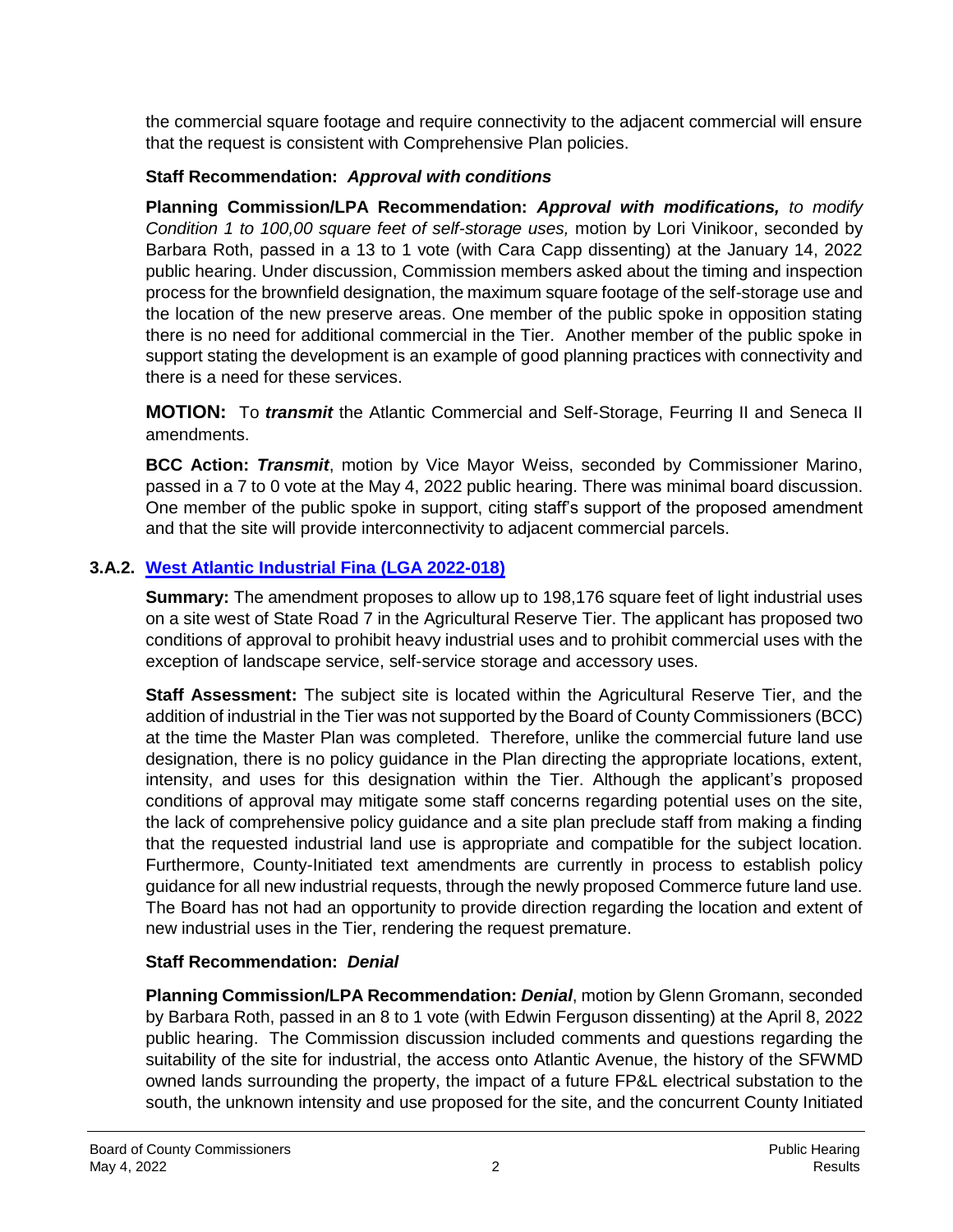the commercial square footage and require connectivity to the adjacent commercial will ensure that the request is consistent with Comprehensive Plan policies.

#### **Staff Recommendation:** *Approval with conditions*

**Planning Commission/LPA Recommendation:** *Approval with modifications, to modify Condition 1 to 100,00 square feet of self-storage uses,* motion by Lori Vinikoor, seconded by Barbara Roth, passed in a 13 to 1 vote (with Cara Capp dissenting) at the January 14, 2022 public hearing. Under discussion, Commission members asked about the timing and inspection process for the brownfield designation, the maximum square footage of the self-storage use and the location of the new preserve areas. One member of the public spoke in opposition stating there is no need for additional commercial in the Tier. Another member of the public spoke in support stating the development is an example of good planning practices with connectivity and there is a need for these services.

**MOTION:** To *transmit* the Atlantic Commercial and Self-Storage, Feurring II and Seneca II amendments.

**BCC Action:** *Transmit*, motion by Vice Mayor Weiss, seconded by Commissioner Marino, passed in a 7 to 0 vote at the May 4, 2022 public hearing. There was minimal board discussion. One member of the public spoke in support, citing staff's support of the proposed amendment and that the site will provide interconnectivity to adjacent commercial parcels.

# **3.A.2. West Atlantic Industrial Fina (LGA 2022-018)**

**Summary:** The amendment proposes to allow up to 198,176 square feet of light industrial uses on a site west of State Road 7 in the Agricultural Reserve Tier. The applicant has proposed two conditions of approval to prohibit heavy industrial uses and to prohibit commercial uses with the exception of landscape service, self-service storage and accessory uses.

**Staff Assessment:** The subject site is located within the Agricultural Reserve Tier, and the addition of industrial in the Tier was not supported by the Board of County Commissioners (BCC) at the time the Master Plan was completed. Therefore, unlike the commercial future land use designation, there is no policy guidance in the Plan directing the appropriate locations, extent, intensity, and uses for this designation within the Tier. Although the applicant's proposed conditions of approval may mitigate some staff concerns regarding potential uses on the site, the lack of comprehensive policy guidance and a site plan preclude staff from making a finding that the requested industrial land use is appropriate and compatible for the subject location. Furthermore, County-Initiated text amendments are currently in process to establish policy guidance for all new industrial requests, through the newly proposed Commerce future land use. The Board has not had an opportunity to provide direction regarding the location and extent of new industrial uses in the Tier, rendering the request premature.

# **Staff Recommendation:** *Denial*

**Planning Commission/LPA Recommendation:** *Denial*, motion by Glenn Gromann, seconded by Barbara Roth, passed in an 8 to 1 vote (with Edwin Ferguson dissenting) at the April 8, 2022 public hearing. The Commission discussion included comments and questions regarding the suitability of the site for industrial, the access onto Atlantic Avenue, the history of the SFWMD owned lands surrounding the property, the impact of a future FP&L electrical substation to the south, the unknown intensity and use proposed for the site, and the concurrent County Initiated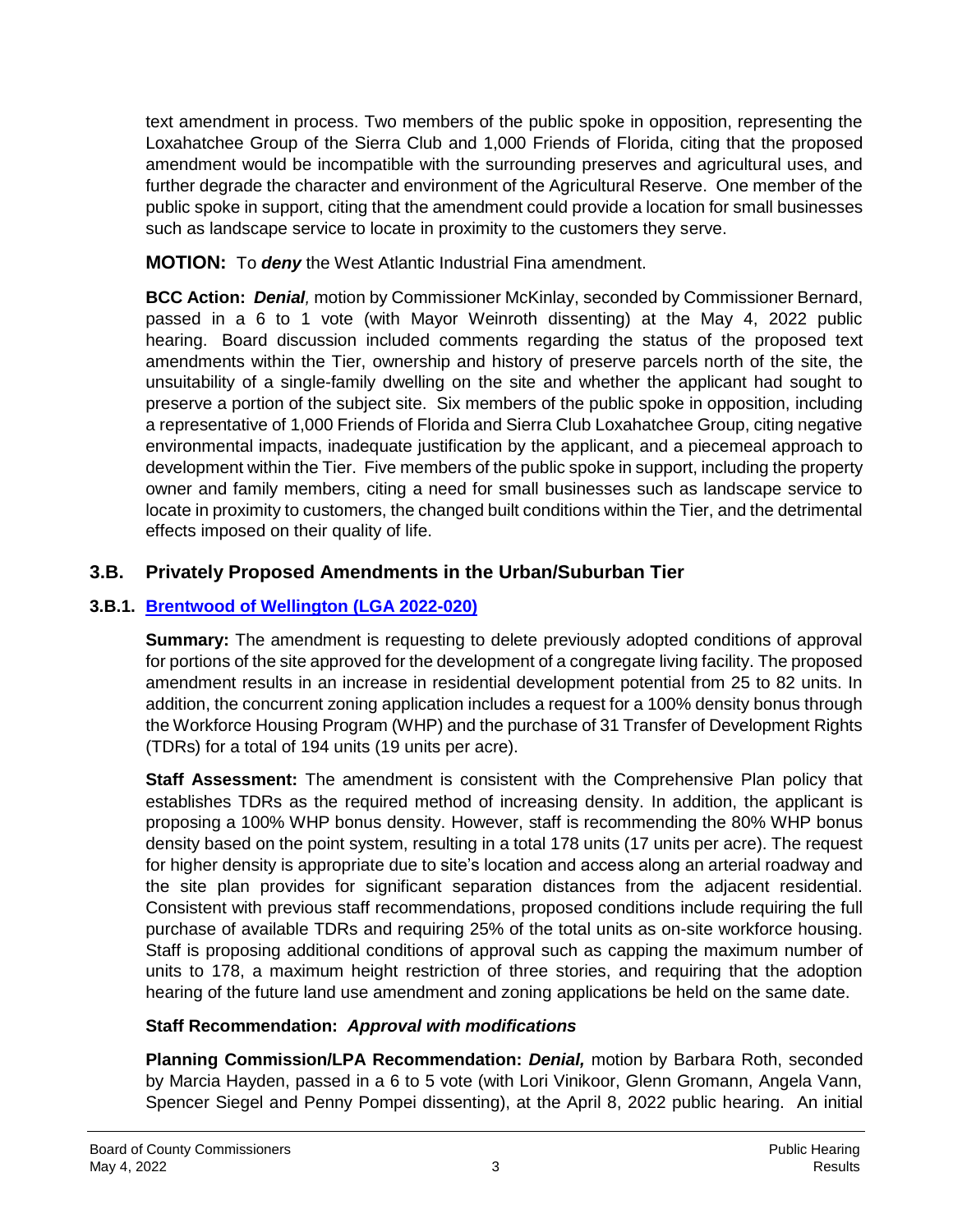text amendment in process. Two members of the public spoke in opposition, representing the Loxahatchee Group of the Sierra Club and 1,000 Friends of Florida, citing that the proposed amendment would be incompatible with the surrounding preserves and agricultural uses, and further degrade the character and environment of the Agricultural Reserve. One member of the public spoke in support, citing that the amendment could provide a location for small businesses such as landscape service to locate in proximity to the customers they serve.

**MOTION:** To *deny* the West Atlantic Industrial Fina amendment.

**BCC Action:** *Denial,* motion by Commissioner McKinlay, seconded by Commissioner Bernard, passed in a 6 to 1 vote (with Mayor Weinroth dissenting) at the May 4, 2022 public hearing. Board discussion included comments regarding the status of the proposed text amendments within the Tier, ownership and history of preserve parcels north of the site, the unsuitability of a single-family dwelling on the site and whether the applicant had sought to preserve a portion of the subject site. Six members of the public spoke in opposition, including a representative of 1,000 Friends of Florida and Sierra Club Loxahatchee Group, citing negative environmental impacts, inadequate justification by the applicant, and a piecemeal approach to development within the Tier. Five members of the public spoke in support, including the property owner and family members, citing a need for small businesses such as landscape service to locate in proximity to customers, the changed built conditions within the Tier, and the detrimental effects imposed on their quality of life.

# **3.B. Privately Proposed Amendments in the Urban/Suburban Tier**

# **3.B.1. Brentwood of Wellington (LGA 2022-020)**

**Summary:** The amendment is requesting to delete previously adopted conditions of approval for portions of the site approved for the development of a congregate living facility. The proposed amendment results in an increase in residential development potential from 25 to 82 units. In addition, the concurrent zoning application includes a request for a 100% density bonus through the Workforce Housing Program (WHP) and the purchase of 31 Transfer of Development Rights (TDRs) for a total of 194 units (19 units per acre).

**Staff Assessment:** The amendment is consistent with the Comprehensive Plan policy that establishes TDRs as the required method of increasing density. In addition, the applicant is proposing a 100% WHP bonus density. However, staff is recommending the 80% WHP bonus density based on the point system, resulting in a total 178 units (17 units per acre). The request for higher density is appropriate due to site's location and access along an arterial roadway and the site plan provides for significant separation distances from the adjacent residential. Consistent with previous staff recommendations, proposed conditions include requiring the full purchase of available TDRs and requiring 25% of the total units as on-site workforce housing. Staff is proposing additional conditions of approval such as capping the maximum number of units to 178, a maximum height restriction of three stories, and requiring that the adoption hearing of the future land use amendment and zoning applications be held on the same date.

# **Staff Recommendation:** *Approval with modifications*

**Planning Commission/LPA Recommendation:** *Denial,* motion by Barbara Roth, seconded by Marcia Hayden, passed in a 6 to 5 vote (with Lori Vinikoor, Glenn Gromann, Angela Vann, Spencer Siegel and Penny Pompei dissenting), at the April 8, 2022 public hearing. An initial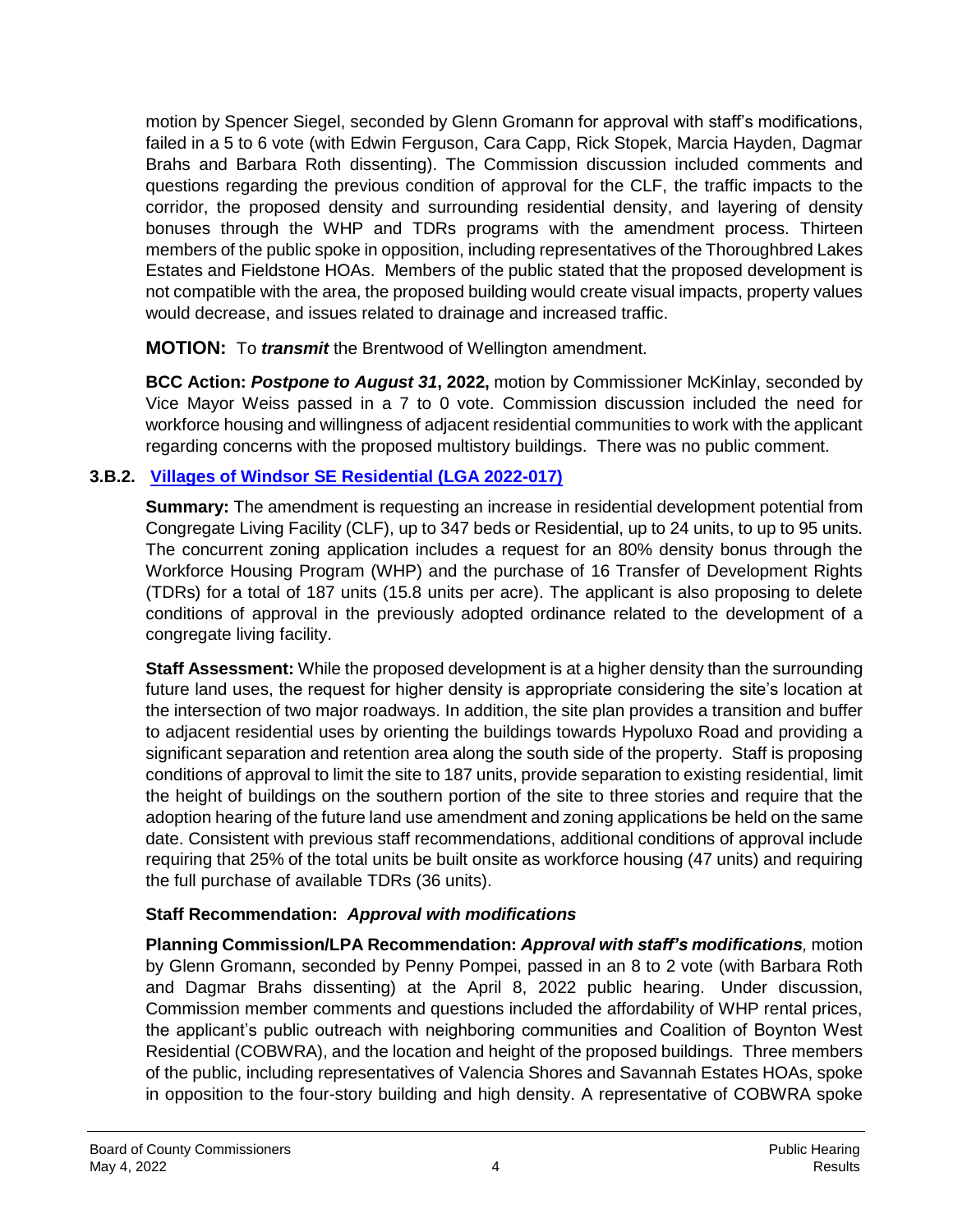motion by Spencer Siegel, seconded by Glenn Gromann for approval with staff's modifications, failed in a 5 to 6 vote (with Edwin Ferguson, Cara Capp, Rick Stopek, Marcia Hayden, Dagmar Brahs and Barbara Roth dissenting). The Commission discussion included comments and questions regarding the previous condition of approval for the CLF, the traffic impacts to the corridor, the proposed density and surrounding residential density, and layering of density bonuses through the WHP and TDRs programs with the amendment process. Thirteen members of the public spoke in opposition, including representatives of the Thoroughbred Lakes Estates and Fieldstone HOAs. Members of the public stated that the proposed development is not compatible with the area, the proposed building would create visual impacts, property values would decrease, and issues related to drainage and increased traffic.

**MOTION:** To *transmit* the Brentwood of Wellington amendment.

**BCC Action:** *Postpone to August 31***, 2022,** motion by Commissioner McKinlay, seconded by Vice Mayor Weiss passed in a 7 to 0 vote. Commission discussion included the need for workforce housing and willingness of adjacent residential communities to work with the applicant regarding concerns with the proposed multistory buildings. There was no public comment.

#### **3.B.2. Villages of Windsor SE Residential (LGA 2022-017)**

**Summary:** The amendment is requesting an increase in residential development potential from Congregate Living Facility (CLF), up to 347 beds or Residential, up to 24 units, to up to 95 units. The concurrent zoning application includes a request for an 80% density bonus through the Workforce Housing Program (WHP) and the purchase of 16 Transfer of Development Rights (TDRs) for a total of 187 units (15.8 units per acre). The applicant is also proposing to delete conditions of approval in the previously adopted ordinance related to the development of a congregate living facility.

**Staff Assessment:** While the proposed development is at a higher density than the surrounding future land uses, the request for higher density is appropriate considering the site's location at the intersection of two major roadways. In addition, the site plan provides a transition and buffer to adjacent residential uses by orienting the buildings towards Hypoluxo Road and providing a significant separation and retention area along the south side of the property. Staff is proposing conditions of approval to limit the site to 187 units, provide separation to existing residential, limit the height of buildings on the southern portion of the site to three stories and require that the adoption hearing of the future land use amendment and zoning applications be held on the same date. Consistent with previous staff recommendations, additional conditions of approval include requiring that 25% of the total units be built onsite as workforce housing (47 units) and requiring the full purchase of available TDRs (36 units).

# **Staff Recommendation:** *Approval with modifications*

**Planning Commission/LPA Recommendation:** *Approval with staff's modifications,* motion by Glenn Gromann, seconded by Penny Pompei, passed in an 8 to 2 vote (with Barbara Roth and Dagmar Brahs dissenting) at the April 8, 2022 public hearing. Under discussion, Commission member comments and questions included the affordability of WHP rental prices, the applicant's public outreach with neighboring communities and Coalition of Boynton West Residential (COBWRA), and the location and height of the proposed buildings. Three members of the public, including representatives of Valencia Shores and Savannah Estates HOAs, spoke in opposition to the four-story building and high density. A representative of COBWRA spoke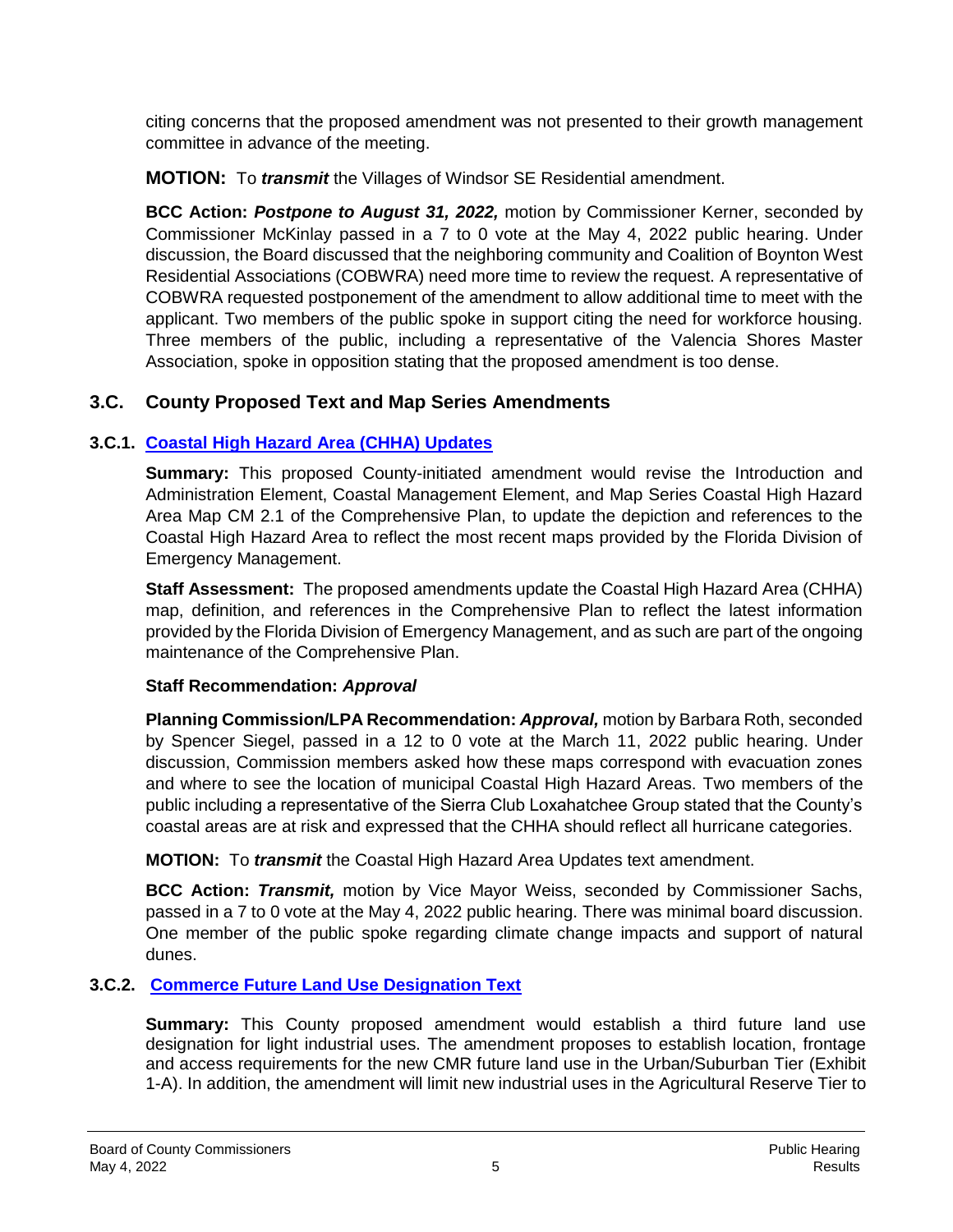citing concerns that the proposed amendment was not presented to their growth management committee in advance of the meeting.

**MOTION:** To *transmit* the Villages of Windsor SE Residential amendment.

**BCC Action:** *Postpone to August 31, 2022,* motion by Commissioner Kerner, seconded by Commissioner McKinlay passed in a 7 to 0 vote at the May 4, 2022 public hearing. Under discussion, the Board discussed that the neighboring community and Coalition of Boynton West Residential Associations (COBWRA) need more time to review the request. A representative of COBWRA requested postponement of the amendment to allow additional time to meet with the applicant. Two members of the public spoke in support citing the need for workforce housing. Three members of the public, including a representative of the Valencia Shores Master Association, spoke in opposition stating that the proposed amendment is too dense.

# **3.C. County Proposed Text and Map Series Amendments**

# **3.C.1. Coastal High Hazard Area (CHHA) Updates**

**Summary:** This proposed County-initiated amendment would revise the Introduction and Administration Element, Coastal Management Element, and Map Series Coastal High Hazard Area Map CM 2.1 of the Comprehensive Plan, to update the depiction and references to the Coastal High Hazard Area to reflect the most recent maps provided by the Florida Division of Emergency Management.

**Staff Assessment:** The proposed amendments update the Coastal High Hazard Area (CHHA) map, definition, and references in the Comprehensive Plan to reflect the latest information provided by the Florida Division of Emergency Management, and as such are part of the ongoing maintenance of the Comprehensive Plan.

#### **Staff Recommendation:** *Approval*

**Planning Commission/LPA Recommendation:** *Approval,* motion by Barbara Roth, seconded by Spencer Siegel, passed in a 12 to 0 vote at the March 11, 2022 public hearing. Under discussion, Commission members asked how these maps correspond with evacuation zones and where to see the location of municipal Coastal High Hazard Areas. Two members of the public including a representative of the Sierra Club Loxahatchee Group stated that the County's coastal areas are at risk and expressed that the CHHA should reflect all hurricane categories.

**MOTION:** To *transmit* the Coastal High Hazard Area Updates text amendment.

**BCC Action:** *Transmit,* motion by Vice Mayor Weiss, seconded by Commissioner Sachs, passed in a 7 to 0 vote at the May 4, 2022 public hearing. There was minimal board discussion. One member of the public spoke regarding climate change impacts and support of natural dunes.

# **3.C.2. Commerce Future Land Use Designation Text**

**Summary:** This County proposed amendment would establish a third future land use designation for light industrial uses. The amendment proposes to establish location, frontage and access requirements for the new CMR future land use in the Urban/Suburban Tier (Exhibit 1-A). In addition, the amendment will limit new industrial uses in the Agricultural Reserve Tier to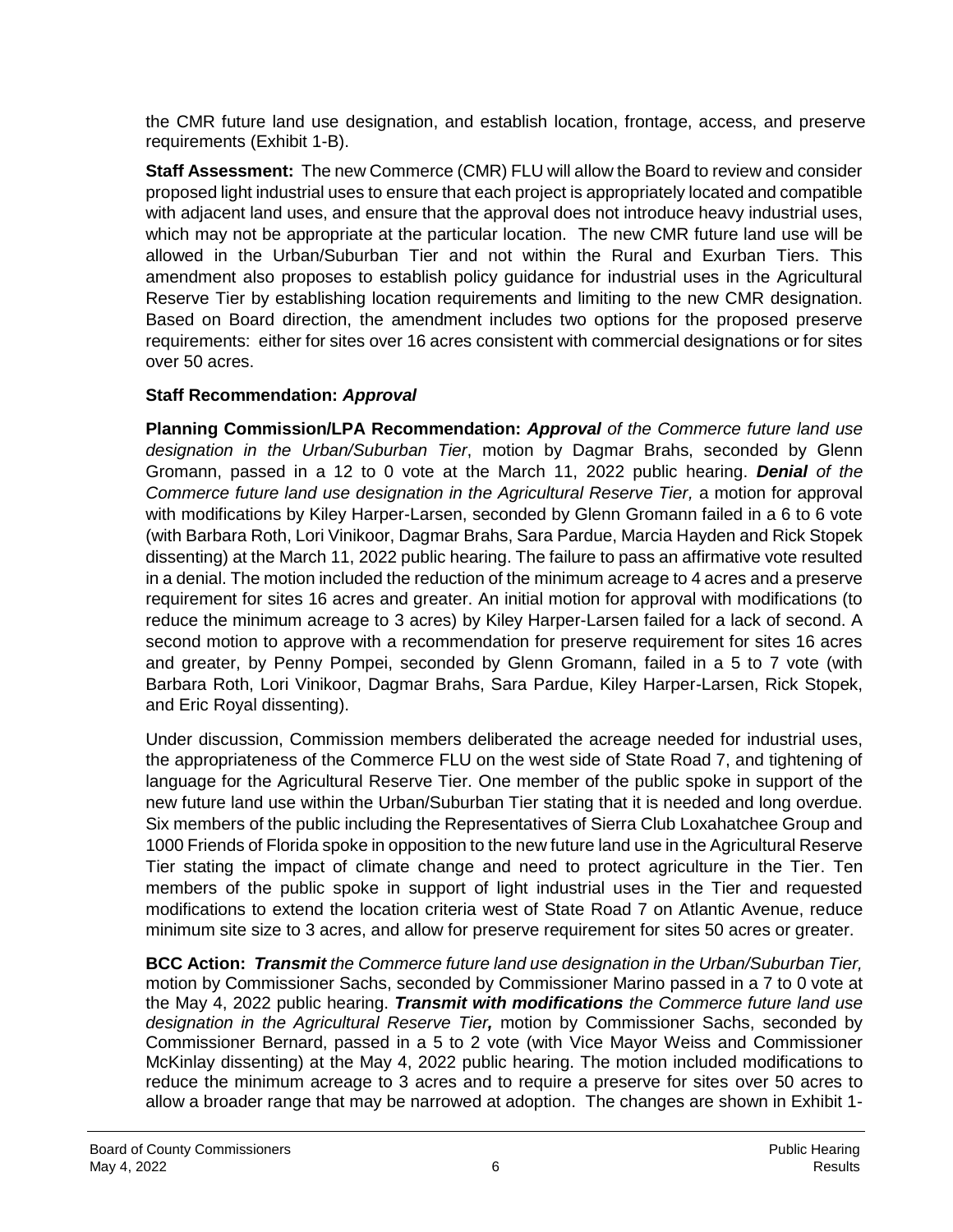the CMR future land use designation, and establish location, frontage, access, and preserve requirements (Exhibit 1-B).

**Staff Assessment:** The new Commerce (CMR) FLU will allow the Board to review and consider proposed light industrial uses to ensure that each project is appropriately located and compatible with adjacent land uses, and ensure that the approval does not introduce heavy industrial uses, which may not be appropriate at the particular location. The new CMR future land use will be allowed in the Urban/Suburban Tier and not within the Rural and Exurban Tiers. This amendment also proposes to establish policy guidance for industrial uses in the Agricultural Reserve Tier by establishing location requirements and limiting to the new CMR designation. Based on Board direction, the amendment includes two options for the proposed preserve requirements: either for sites over 16 acres consistent with commercial designations or for sites over 50 acres.

#### **Staff Recommendation:** *Approval*

**Planning Commission/LPA Recommendation:** *Approval of the Commerce future land use designation in the Urban/Suburban Tier*, motion by Dagmar Brahs, seconded by Glenn Gromann, passed in a 12 to 0 vote at the March 11, 2022 public hearing. *Denial of the Commerce future land use designation in the Agricultural Reserve Tier, a motion for approval* with modifications by Kiley Harper-Larsen, seconded by Glenn Gromann failed in a 6 to 6 vote (with Barbara Roth, Lori Vinikoor, Dagmar Brahs, Sara Pardue, Marcia Hayden and Rick Stopek dissenting) at the March 11, 2022 public hearing. The failure to pass an affirmative vote resulted in a denial. The motion included the reduction of the minimum acreage to 4 acres and a preserve requirement for sites 16 acres and greater. An initial motion for approval with modifications (to reduce the minimum acreage to 3 acres) by Kiley Harper-Larsen failed for a lack of second. A second motion to approve with a recommendation for preserve requirement for sites 16 acres and greater, by Penny Pompei, seconded by Glenn Gromann, failed in a 5 to 7 vote (with Barbara Roth, Lori Vinikoor, Dagmar Brahs, Sara Pardue, Kiley Harper-Larsen, Rick Stopek, and Eric Royal dissenting).

Under discussion, Commission members deliberated the acreage needed for industrial uses, the appropriateness of the Commerce FLU on the west side of State Road 7, and tightening of language for the Agricultural Reserve Tier. One member of the public spoke in support of the new future land use within the Urban/Suburban Tier stating that it is needed and long overdue. Six members of the public including the Representatives of Sierra Club Loxahatchee Group and 1000 Friends of Florida spoke in opposition to the new future land use in the Agricultural Reserve Tier stating the impact of climate change and need to protect agriculture in the Tier. Ten members of the public spoke in support of light industrial uses in the Tier and requested modifications to extend the location criteria west of State Road 7 on Atlantic Avenue, reduce minimum site size to 3 acres, and allow for preserve requirement for sites 50 acres or greater.

**BCC Action:** *Transmit the Commerce future land use designation in the Urban/Suburban Tier,* motion by Commissioner Sachs, seconded by Commissioner Marino passed in a 7 to 0 vote at the May 4, 2022 public hearing. *Transmit with modifications the Commerce future land use designation in the Agricultural Reserve Tier,* motion by Commissioner Sachs, seconded by Commissioner Bernard, passed in a 5 to 2 vote (with Vice Mayor Weiss and Commissioner McKinlay dissenting) at the May 4, 2022 public hearing. The motion included modifications to reduce the minimum acreage to 3 acres and to require a preserve for sites over 50 acres to allow a broader range that may be narrowed at adoption. The changes are shown in Exhibit 1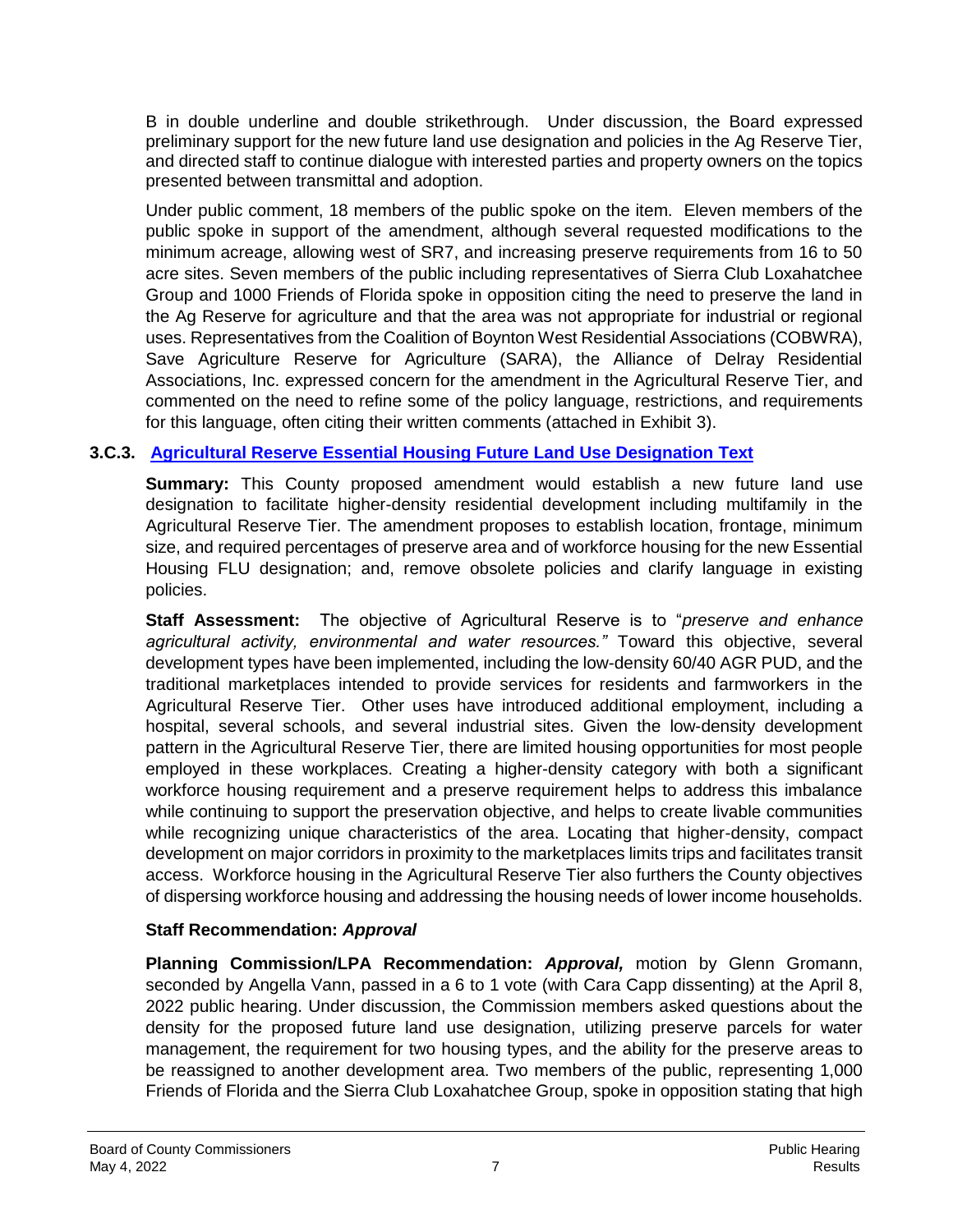B in double underline and double strikethrough. Under discussion, the Board expressed preliminary support for the new future land use designation and policies in the Ag Reserve Tier, and directed staff to continue dialogue with interested parties and property owners on the topics presented between transmittal and adoption.

Under public comment, 18 members of the public spoke on the item. Eleven members of the public spoke in support of the amendment, although several requested modifications to the minimum acreage, allowing west of SR7, and increasing preserve requirements from 16 to 50 acre sites. Seven members of the public including representatives of Sierra Club Loxahatchee Group and 1000 Friends of Florida spoke in opposition citing the need to preserve the land in the Ag Reserve for agriculture and that the area was not appropriate for industrial or regional uses. Representatives from the Coalition of Boynton West Residential Associations (COBWRA), Save Agriculture Reserve for Agriculture (SARA), the Alliance of Delray Residential Associations, Inc. expressed concern for the amendment in the Agricultural Reserve Tier, and commented on the need to refine some of the policy language, restrictions, and requirements for this language, often citing their written comments (attached in Exhibit 3).

#### **3.C.3. Agricultural Reserve Essential Housing Future Land Use Designation Text**

**Summary:** This County proposed amendment would establish a new future land use designation to facilitate higher-density residential development including multifamily in the Agricultural Reserve Tier. The amendment proposes to establish location, frontage, minimum size, and required percentages of preserve area and of workforce housing for the new Essential Housing FLU designation; and, remove obsolete policies and clarify language in existing policies.

**Staff Assessment:** The objective of Agricultural Reserve is to "*preserve and enhance agricultural activity, environmental and water resources."* Toward this objective, several development types have been implemented, including the low-density 60/40 AGR PUD, and the traditional marketplaces intended to provide services for residents and farmworkers in the Agricultural Reserve Tier. Other uses have introduced additional employment, including a hospital, several schools, and several industrial sites. Given the low-density development pattern in the Agricultural Reserve Tier, there are limited housing opportunities for most people employed in these workplaces. Creating a higher-density category with both a significant workforce housing requirement and a preserve requirement helps to address this imbalance while continuing to support the preservation objective, and helps to create livable communities while recognizing unique characteristics of the area. Locating that higher-density, compact development on major corridors in proximity to the marketplaces limits trips and facilitates transit access. Workforce housing in the Agricultural Reserve Tier also furthers the County objectives of dispersing workforce housing and addressing the housing needs of lower income households.

#### **Staff Recommendation:** *Approval*

**Planning Commission/LPA Recommendation:** *Approval,* motion by Glenn Gromann, seconded by Angella Vann, passed in a 6 to 1 vote (with Cara Capp dissenting) at the April 8, 2022 public hearing. Under discussion, the Commission members asked questions about the density for the proposed future land use designation, utilizing preserve parcels for water management, the requirement for two housing types, and the ability for the preserve areas to be reassigned to another development area. Two members of the public, representing 1,000 Friends of Florida and the Sierra Club Loxahatchee Group, spoke in opposition stating that high